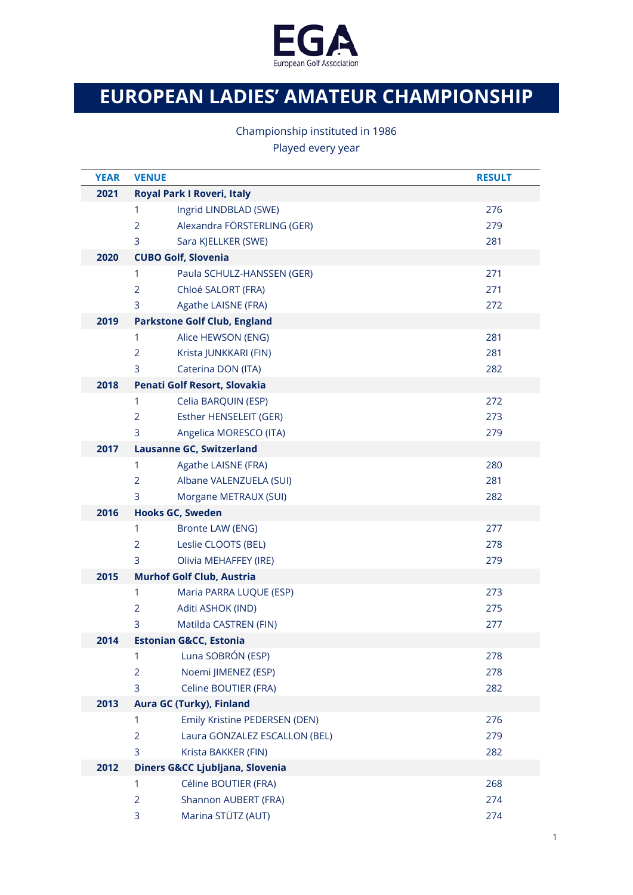

## **EUROPEAN LADIES' AMATEUR CHAMPIONSHIP**

Championship instituted in 1986

Played every year

| <b>YEAR</b> | <b>VENUE</b>                                    | <b>RESULT</b> |  |  |
|-------------|-------------------------------------------------|---------------|--|--|
| 2021        | Royal Park I Roveri, Italy                      |               |  |  |
|             | Ingrid LINDBLAD (SWE)<br>1                      | 276           |  |  |
|             | Alexandra FÖRSTERLING (GER)<br>$\overline{2}$   | 279           |  |  |
|             | 3<br>Sara KJELLKER (SWE)                        | 281           |  |  |
| 2020        | <b>CUBO Golf, Slovenia</b>                      |               |  |  |
|             | 1<br>Paula SCHULZ-HANSSEN (GER)                 | 271           |  |  |
|             | $\overline{2}$<br>Chloé SALORT (FRA)            | 271           |  |  |
|             | 3<br>Agathe LAISNE (FRA)                        | 272           |  |  |
| 2019        | <b>Parkstone Golf Club, England</b>             |               |  |  |
|             | 1<br>Alice HEWSON (ENG)                         | 281           |  |  |
|             | $\overline{2}$<br>Krista JUNKKARI (FIN)         | 281           |  |  |
|             | 3<br>Caterina DON (ITA)                         | 282           |  |  |
| 2018        | Penati Golf Resort, Slovakia                    |               |  |  |
|             | 1<br>Celia BARQUIN (ESP)                        | 272           |  |  |
|             | Esther HENSELEIT (GER)<br>$\overline{2}$        | 273           |  |  |
|             | 3<br>Angelica MORESCO (ITA)                     | 279           |  |  |
| 2017        | <b>Lausanne GC, Switzerland</b>                 |               |  |  |
|             | $\mathbf{1}$<br>Agathe LAISNE (FRA)             | 280           |  |  |
|             | Albane VALENZUELA (SUI)<br>$\overline{2}$       | 281           |  |  |
|             | 3<br>Morgane METRAUX (SUI)                      | 282           |  |  |
| 2016        | <b>Hooks GC, Sweden</b>                         |               |  |  |
|             | 1<br>Bronte LAW (ENG)                           | 277           |  |  |
|             | $\overline{2}$<br>Leslie CLOOTS (BEL)           | 278           |  |  |
|             | 3<br>Olivia MEHAFFEY (IRE)                      | 279           |  |  |
| 2015        | <b>Murhof Golf Club, Austria</b>                |               |  |  |
|             | 1<br>Maria PARRA LUQUE (ESP)                    | 273           |  |  |
|             | $\overline{2}$<br>Aditi ASHOK (IND)             | 275           |  |  |
|             | 3<br>Matilda CASTREN (FIN)                      | 277           |  |  |
| 2014        | <b>Estonian G&amp;CC, Estonia</b>               |               |  |  |
|             | Luna SOBRÓN (ESP)<br>1                          | 278           |  |  |
|             | Noemi JIMENEZ (ESP)<br>$\overline{2}$           | 278           |  |  |
|             | 3<br>Celine BOUTIER (FRA)                       | 282           |  |  |
| 2013        | Aura GC (Turky), Finland                        |               |  |  |
|             | Emily Kristine PEDERSEN (DEN)<br>1              | 276           |  |  |
|             | Laura GONZALEZ ESCALLON (BEL)<br>$\overline{2}$ | 279           |  |  |
|             | 3<br>Krista BAKKER (FIN)                        | 282           |  |  |
| 2012        | Diners G&CC Ljubljana, Slovenia                 |               |  |  |
|             | Céline BOUTIER (FRA)<br>1                       | 268           |  |  |
|             | Shannon AUBERT (FRA)<br>$\overline{2}$          | 274           |  |  |
|             | Marina STÜTZ (AUT)<br>3                         | 274           |  |  |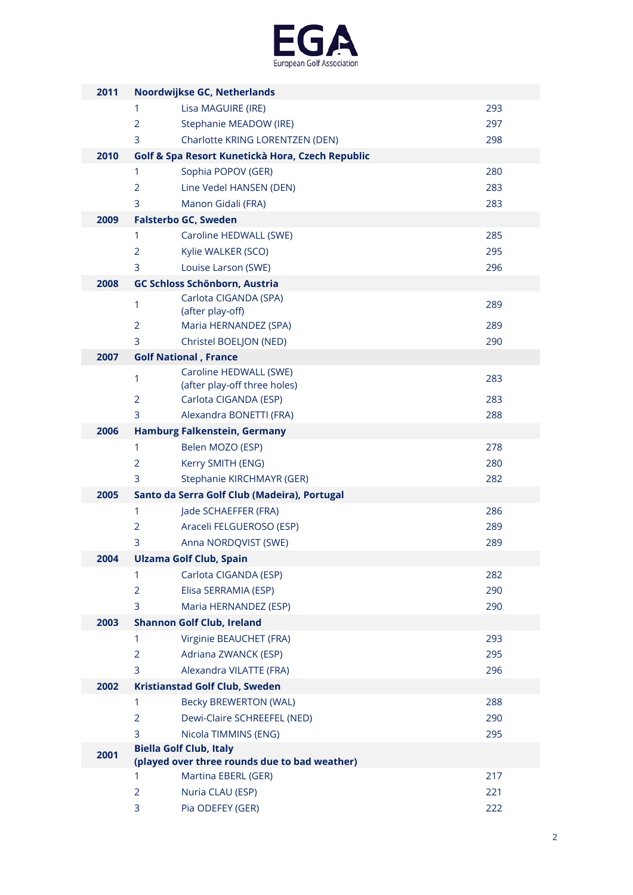

| 2011 |                | Noordwijkse GC, Netherlands                            |     |
|------|----------------|--------------------------------------------------------|-----|
|      | 1              | Lisa MAGUIRE (IRE)                                     | 293 |
|      | $\overline{2}$ | Stephanie MEADOW (IRE)                                 | 297 |
|      | 3              | Charlotte KRING LORENTZEN (DEN)                        | 298 |
| 2010 |                | Golf & Spa Resort Kunetickà Hora, Czech Republic       |     |
|      | 1              | Sophia POPOV (GER)                                     | 280 |
|      | 2              | Line Vedel HANSEN (DEN)                                | 283 |
|      | 3              | Manon Gidali (FRA)                                     | 283 |
| 2009 |                | <b>Falsterbo GC, Sweden</b>                            |     |
|      | 1              | Caroline HEDWALL (SWE)                                 | 285 |
|      | $\overline{2}$ | Kylie WALKER (SCO)                                     | 295 |
|      | 3              | Louise Larson (SWE)                                    | 296 |
| 2008 |                | GC Schloss Schönborn, Austria                          |     |
|      | $\mathbf{1}$   | Carlota CIGANDA (SPA)                                  | 289 |
|      |                | (after play-off)                                       |     |
|      | $\overline{2}$ | Maria HERNANDEZ (SPA)                                  | 289 |
|      | 3              | Christel BOELJON (NED)                                 | 290 |
| 2007 |                | <b>Golf National, France</b>                           |     |
|      | 1              | Caroline HEDWALL (SWE)<br>(after play-off three holes) | 283 |
|      | 2              | Carlota CIGANDA (ESP)                                  | 283 |
|      | 3              | Alexandra BONETTI (FRA)                                | 288 |
| 2006 |                | Hamburg Falkenstein, Germany                           |     |
|      | 1              | Belen MOZO (ESP)                                       | 278 |
|      | $\overline{2}$ | Kerry SMITH (ENG)                                      | 280 |
|      | 3              | Stephanie KIRCHMAYR (GER)                              | 282 |
| 2005 |                | Santo da Serra Golf Club (Madeira), Portugal           |     |
|      | $\mathbf{1}$   | Jade SCHAEFFER (FRA)                                   | 286 |
|      | 2              | Araceli FELGUEROSO (ESP)                               | 289 |
|      | 3              | Anna NORDQVIST (SWE)                                   | 289 |
| 2004 |                | <b>Ulzama Golf Club, Spain</b>                         |     |
|      | 1              | Carlota CIGANDA (ESP)                                  | 282 |
|      | $\overline{2}$ | Elisa SERRAMIA (ESP)                                   | 290 |
|      | 3              | Maria HERNANDEZ (ESP)                                  | 290 |
| 2003 |                | <b>Shannon Golf Club, Ireland</b>                      |     |
|      | 1              | Virginie BEAUCHET (FRA)                                | 293 |
|      | $\overline{2}$ | Adriana ZWANCK (ESP)                                   | 295 |
|      | 3              | Alexandra VILATTE (FRA)                                | 296 |
| 2002 |                | <b>Kristianstad Golf Club, Sweden</b>                  |     |
|      | 1              | <b>Becky BREWERTON (WAL)</b>                           | 288 |
|      | $\overline{2}$ | Dewi-Claire SCHREEFEL (NED)                            | 290 |
|      | 3              | Nicola TIMMINS (ENG)                                   | 295 |
| 2001 |                | <b>Biella Golf Club, Italy</b>                         |     |
|      |                | (played over three rounds due to bad weather)          |     |
|      | 1              | Martina EBERL (GER)                                    | 217 |
|      | $\overline{2}$ | Nuria CLAU (ESP)                                       | 221 |
|      | 3              | Pia ODEFEY (GER)                                       | 222 |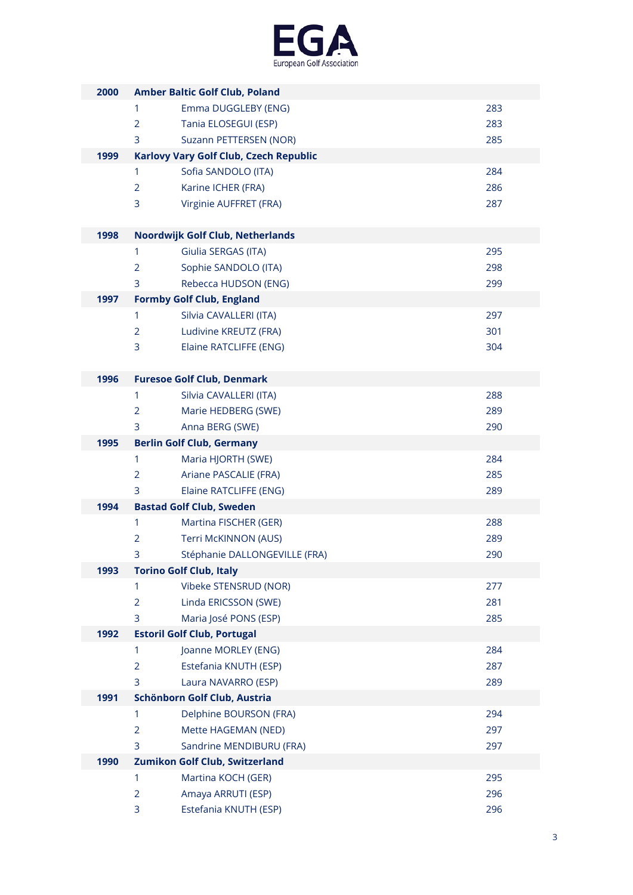

| 2000 | <b>Amber Baltic Golf Club, Poland</b> |                                        |     |  |
|------|---------------------------------------|----------------------------------------|-----|--|
|      | 1                                     | Emma DUGGLEBY (ENG)                    | 283 |  |
|      | $\overline{2}$                        | Tania ELOSEGUI (ESP)                   | 283 |  |
|      | 3                                     | Suzann PETTERSEN (NOR)                 | 285 |  |
| 1999 |                                       | Karlovy Vary Golf Club, Czech Republic |     |  |
|      | 1                                     | Sofia SANDOLO (ITA)                    | 284 |  |
|      | $\overline{2}$                        | Karine ICHER (FRA)                     | 286 |  |
|      | 3                                     | Virginie AUFFRET (FRA)                 | 287 |  |
|      |                                       |                                        |     |  |
| 1998 |                                       | Noordwijk Golf Club, Netherlands       |     |  |
|      | 1                                     | Giulia SERGAS (ITA)                    | 295 |  |
|      | 2                                     | Sophie SANDOLO (ITA)                   | 298 |  |
|      | 3                                     | Rebecca HUDSON (ENG)                   | 299 |  |
| 1997 |                                       | <b>Formby Golf Club, England</b>       |     |  |
|      | 1                                     | Silvia CAVALLERI (ITA)                 | 297 |  |
|      | $\overline{2}$                        | Ludivine KREUTZ (FRA)                  | 301 |  |
|      | 3                                     | Elaine RATCLIFFE (ENG)                 | 304 |  |
|      |                                       |                                        |     |  |
| 1996 |                                       | <b>Furesoe Golf Club, Denmark</b>      |     |  |
|      | 1                                     | Silvia CAVALLERI (ITA)                 | 288 |  |
|      | $\overline{2}$                        | Marie HEDBERG (SWE)                    | 289 |  |
|      | 3                                     | Anna BERG (SWE)                        | 290 |  |
| 1995 |                                       | <b>Berlin Golf Club, Germany</b>       |     |  |
|      | 1                                     | Maria HJORTH (SWE)                     | 284 |  |
|      | $\overline{2}$                        | Ariane PASCALIE (FRA)                  | 285 |  |
|      | 3                                     | Elaine RATCLIFFE (ENG)                 | 289 |  |
| 1994 |                                       | <b>Bastad Golf Club, Sweden</b>        |     |  |
|      | 1                                     | Martina FISCHER (GER)                  | 288 |  |
|      | $\overline{2}$                        | Terri McKINNON (AUS)                   | 289 |  |
|      | 3                                     | Stéphanie DALLONGEVILLE (FRA)          | 290 |  |
| 1993 |                                       | <b>Torino Golf Club, Italy</b>         |     |  |
|      | 1                                     | Vibeke STENSRUD (NOR)                  | 277 |  |
|      | $\overline{2}$                        | Linda ERICSSON (SWE)                   | 281 |  |
|      | 3                                     | Maria José PONS (ESP)                  | 285 |  |
| 1992 |                                       | <b>Estoril Golf Club, Portugal</b>     |     |  |
|      | 1                                     | Joanne MORLEY (ENG)                    | 284 |  |
|      | $\overline{2}$                        | Estefania KNUTH (ESP)                  | 287 |  |
|      | 3                                     | Laura NAVARRO (ESP)                    | 289 |  |
| 1991 |                                       | Schönborn Golf Club, Austria           |     |  |
|      | 1                                     | Delphine BOURSON (FRA)                 | 294 |  |
|      | $\overline{2}$                        | Mette HAGEMAN (NED)                    | 297 |  |
|      | 3                                     | Sandrine MENDIBURU (FRA)               | 297 |  |
| 1990 |                                       | Zumikon Golf Club, Switzerland         |     |  |
|      | 1                                     | Martina KOCH (GER)                     | 295 |  |
|      | $\overline{2}$                        | Amaya ARRUTI (ESP)                     | 296 |  |
|      | 3                                     | Estefania KNUTH (ESP)                  | 296 |  |